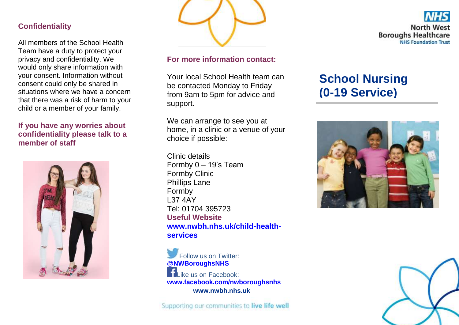#### **Confidentiality**

All members of the School Health Team have a duty to protect your privacy and confidentiality. We would only share information with your consent. Information without consent could only be shared in situations where we have a concern that there was a risk of harm to your child or a member of your family.

#### **If you have any worries about confidentiality please talk to a member of staff**





#### **For more information contact:**

Your local School Health team can be contacted Monday to Friday from 9am to 5pm for advice and support.

We can arrange to see you at home, in a clinic or a venue of your choice if possible:

Clinic details Formby 0 – 19's Team Formby Clinic Phillips Lane Formby L37 4AY Tel: 01704 395723 **Useful Website [www.nwbh.nhs.uk/child-health](http://www.nwbh.nhs.uk/child-health-services)[services](http://www.nwbh.nhs.uk/child-health-services)**

Follow us on Twitter: **[@NWBoroughsNHS](http://www.twitter.com/nwboroughsnhs) Like us on Facebook: [www.facebook.com/nwboroughsnhs](http://www.facebook.com/nwboroughsnhs) www.nwbh.nhs.uk**

Supporting our communities to live life well



# **School Nursing (0-19 Service)**